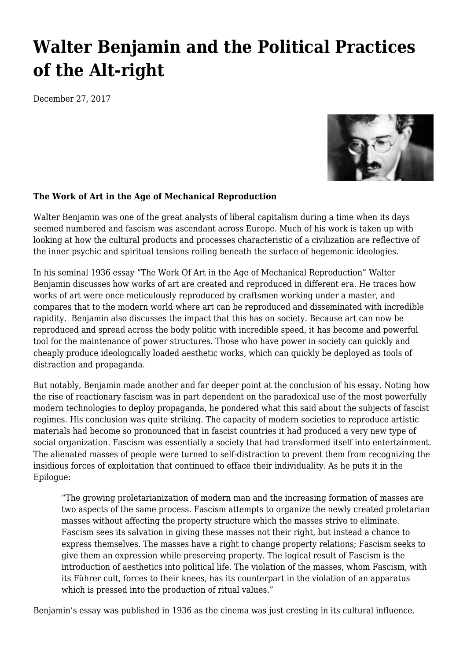## **[Walter Benjamin and the Political Practices](https://newpol.org/walter-benjamin-and-political-practices-altright/) [of the Alt-right](https://newpol.org/walter-benjamin-and-political-practices-altright/)**

December 27, 2017



## **The Work of Art in the Age of Mechanical Reproduction**

Walter Benjamin was one of the great analysts of liberal capitalism during a time when its days seemed numbered and fascism was ascendant across Europe. Much of his work is taken up with looking at how the cultural products and processes characteristic of a civilization are reflective of the inner psychic and spiritual tensions roiling beneath the surface of hegemonic ideologies.

In his seminal 1936 essay "The Work Of Art in the Age of Mechanical Reproduction" Walter Benjamin discusses how works of art are created and reproduced in different era. He traces how works of art were once meticulously reproduced by craftsmen working under a master, and compares that to the modern world where art can be reproduced and disseminated with incredible rapidity. Benjamin also discusses the impact that this has on society. Because art can now be reproduced and spread across the body politic with incredible speed, it has become and powerful tool for the maintenance of power structures. Those who have power in society can quickly and cheaply produce ideologically loaded aesthetic works, which can quickly be deployed as tools of distraction and propaganda.

But notably, Benjamin made another and far deeper point at the conclusion of his essay. Noting how the rise of reactionary fascism was in part dependent on the paradoxical use of the most powerfully modern technologies to deploy propaganda, he pondered what this said about the subjects of fascist regimes. His conclusion was quite striking. The capacity of modern societies to reproduce artistic materials had become so pronounced that in fascist countries it had produced a very new type of social organization. Fascism was essentially a society that had transformed itself into entertainment. The alienated masses of people were turned to self-distraction to prevent them from recognizing the insidious forces of exploitation that continued to efface their individuality. As he puts it in the Epilogue:

"The growing proletarianization of modern man and the increasing formation of masses are two aspects of the same process. Fascism attempts to organize the newly created proletarian masses without affecting the property structure which the masses strive to eliminate. Fascism sees its salvation in giving these masses not their right, but instead a chance to express themselves. The masses have a right to change property relations; Fascism seeks to give them an expression while preserving property. The logical result of Fascism is the introduction of aesthetics into political life. The violation of the masses, whom Fascism, with its Führer cult, forces to their knees, has its counterpart in the violation of an apparatus which is pressed into the production of ritual values."

Benjamin's essay was published in 1936 as the cinema was just cresting in its cultural influence.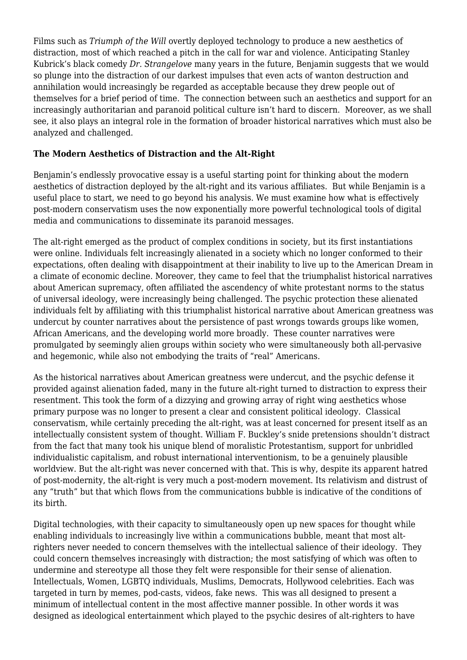Films such as *Triumph of the Will* overtly deployed technology to produce a new aesthetics of distraction, most of which reached a pitch in the call for war and violence. Anticipating Stanley Kubrick's black comedy *Dr. Strangelove* many years in the future, Benjamin suggests that we would so plunge into the distraction of our darkest impulses that even acts of wanton destruction and annihilation would increasingly be regarded as acceptable because they drew people out of themselves for a brief period of time. The connection between such an aesthetics and support for an increasingly authoritarian and paranoid political culture isn't hard to discern. Moreover, as we shall see, it also plays an integral role in the formation of broader historical narratives which must also be analyzed and challenged.

## **The Modern Aesthetics of Distraction and the Alt-Right**

Benjamin's endlessly provocative essay is a useful starting point for thinking about the modern aesthetics of distraction deployed by the alt-right and its various affiliates. But while Benjamin is a useful place to start, we need to go beyond his analysis. We must examine how what is effectively post-modern conservatism uses the now exponentially more powerful technological tools of digital media and communications to disseminate its paranoid messages.

The alt-right emerged as the product of complex conditions in society, but its first instantiations were online. Individuals felt increasingly alienated in a society which no longer conformed to their expectations, often dealing with disappointment at their inability to live up to the American Dream in a climate of economic decline. Moreover, they came to feel that the triumphalist historical narratives about American supremacy, often affiliated the ascendency of white protestant norms to the status of universal ideology, were increasingly being challenged. The psychic protection these alienated individuals felt by affiliating with this triumphalist historical narrative about American greatness was undercut by counter narratives about the persistence of past wrongs towards groups like women, African Americans, and the developing world more broadly. These counter narratives were promulgated by seemingly alien groups within society who were simultaneously both all-pervasive and hegemonic, while also not embodying the traits of "real" Americans.

As the historical narratives about American greatness were undercut, and the psychic defense it provided against alienation faded, many in the future alt-right turned to distraction to express their resentment. This took the form of a dizzying and growing array of right wing aesthetics whose primary purpose was no longer to present a clear and consistent political ideology. Classical conservatism, while certainly preceding the alt-right, was at least concerned for present itself as an intellectually consistent system of thought. William F. Buckley's snide pretensions shouldn't distract from the fact that many took his unique blend of moralistic Protestantism, support for unbridled individualistic capitalism, and robust international interventionism, to be a genuinely plausible worldview. But the alt-right was never concerned with that. This is why, despite its apparent hatred of post-modernity, the alt-right is very much a post-modern movement. Its relativism and distrust of any "truth" but that which flows from the communications bubble is indicative of the conditions of its birth.

Digital technologies, with their capacity to simultaneously open up new spaces for thought while enabling individuals to increasingly live within a communications bubble, meant that most altrighters never needed to concern themselves with the intellectual salience of their ideology. They could concern themselves increasingly with distraction; the most satisfying of which was often to undermine and stereotype all those they felt were responsible for their sense of alienation. Intellectuals, Women, LGBTQ individuals, Muslims, Democrats, Hollywood celebrities. Each was targeted in turn by memes, pod-casts, videos, fake news. This was all designed to present a minimum of intellectual content in the most affective manner possible. In other words it was designed as ideological entertainment which played to the psychic desires of alt-righters to have